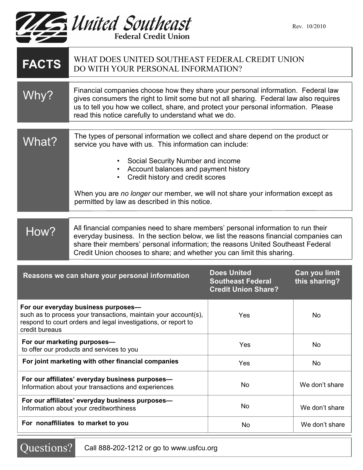

| <b>FACTS</b>                                                                                                                                                                               | WHAT DOES UNITED SOUTHEAST FEDERAL CREDIT UNION<br>DO WITH YOUR PERSONAL INFORMATION?                                                                                                                                                                                                                                                                                                                        |                                                                              |                                |
|--------------------------------------------------------------------------------------------------------------------------------------------------------------------------------------------|--------------------------------------------------------------------------------------------------------------------------------------------------------------------------------------------------------------------------------------------------------------------------------------------------------------------------------------------------------------------------------------------------------------|------------------------------------------------------------------------------|--------------------------------|
| Why?                                                                                                                                                                                       | Financial companies choose how they share your personal information. Federal law<br>gives consumers the right to limit some but not all sharing. Federal law also requires<br>us to tell you how we collect, share, and protect your personal information. Please<br>read this notice carefully to understand what we do.                                                                                    |                                                                              |                                |
| What?                                                                                                                                                                                      | The types of personal information we collect and share depend on the product or<br>service you have with us. This information can include:<br>Social Security Number and income<br>$\bullet$<br>Account balances and payment history<br>Credit history and credit scores<br>When you are no longer our member, we will not share your information except as<br>permitted by law as described in this notice. |                                                                              |                                |
| How?                                                                                                                                                                                       | All financial companies need to share members' personal information to run their<br>everyday business. In the section below, we list the reasons financial companies can<br>share their members' personal information; the reasons United Southeast Federal<br>Credit Union chooses to share; and whether you can limit this sharing.                                                                        |                                                                              |                                |
| Reasons we can share your personal information                                                                                                                                             |                                                                                                                                                                                                                                                                                                                                                                                                              | <b>Does United</b><br><b>Southeast Federal</b><br><b>Credit Union Share?</b> | Can you limit<br>this sharing? |
| For our everyday business purposes-<br>such as to process your transactions, maintain your account(s),<br>respond to court orders and legal investigations, or report to<br>credit bureaus |                                                                                                                                                                                                                                                                                                                                                                                                              | Yes                                                                          | No                             |
| For our marketing purposes-<br>to offer our products and services to you                                                                                                                   |                                                                                                                                                                                                                                                                                                                                                                                                              | Yes                                                                          | No                             |
| For joint marketing with other financial companies                                                                                                                                         |                                                                                                                                                                                                                                                                                                                                                                                                              | Yes                                                                          | No                             |
| For our affiliates' everyday business purposes-<br>Information about your transactions and experiences                                                                                     |                                                                                                                                                                                                                                                                                                                                                                                                              | No                                                                           | We don't share                 |
| For our affiliates' everyday business purposes-<br>Information about your creditworthiness                                                                                                 |                                                                                                                                                                                                                                                                                                                                                                                                              | No                                                                           | We don't share                 |
| For nonaffiliates to market to you                                                                                                                                                         |                                                                                                                                                                                                                                                                                                                                                                                                              | No                                                                           | We don't share                 |